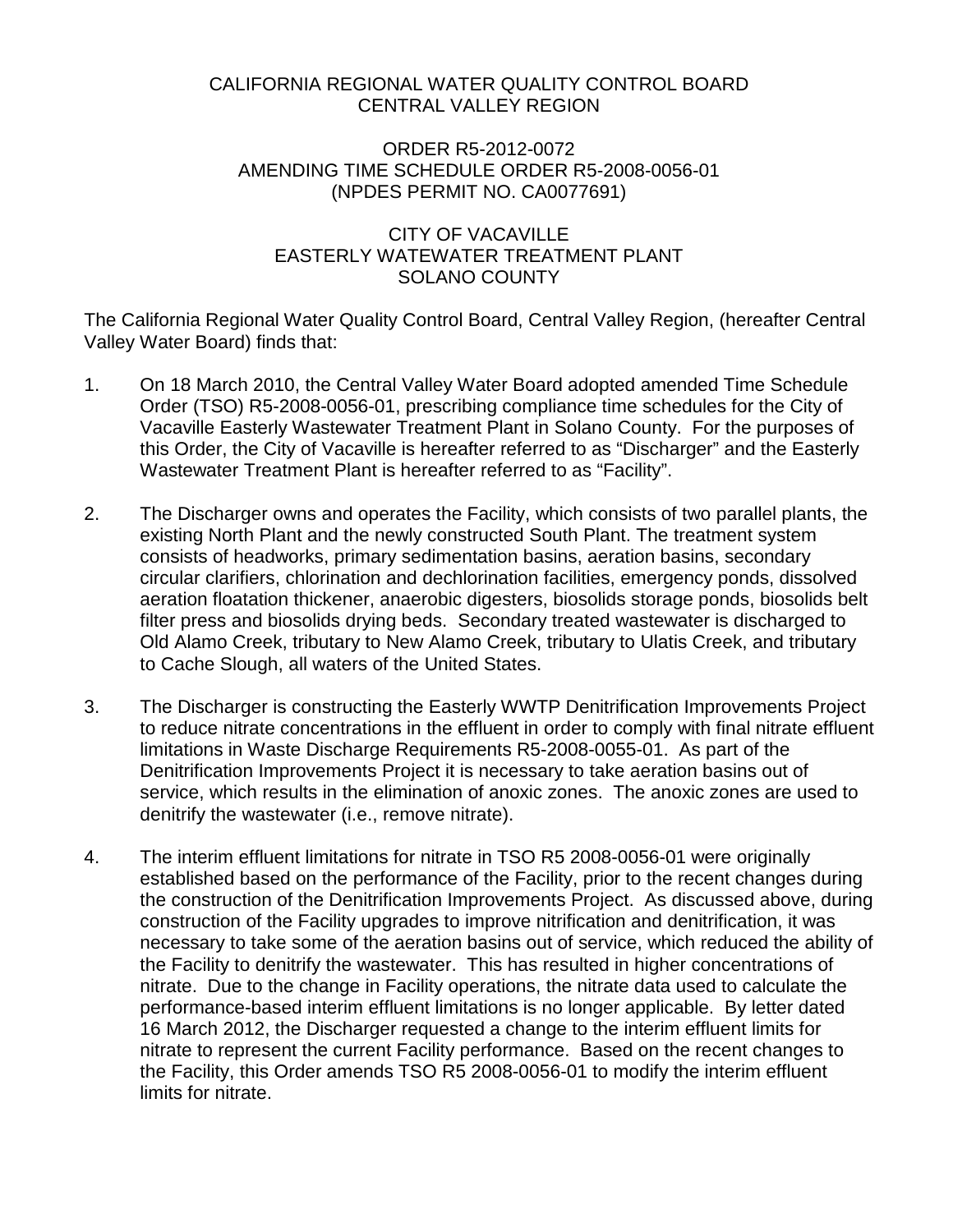### CALIFORNIA REGIONAL WATER QUALITY CONTROL BOARD CENTRAL VALLEY REGION

#### ORDER R5-2012-0072 AMENDING TIME SCHEDULE ORDER R5-2008-0056-01 (NPDES PERMIT NO. CA0077691)

### CITY OF VACAVILLE EASTERLY WATEWATER TREATMENT PLANT SOLANO COUNTY

The California Regional Water Quality Control Board, Central Valley Region, (hereafter Central Valley Water Board) finds that:

- 1. On 18 March 2010, the Central Valley Water Board adopted amended Time Schedule Order (TSO) R5-2008-0056-01, prescribing compliance time schedules for the City of Vacaville Easterly Wastewater Treatment Plant in Solano County. For the purposes of this Order, the City of Vacaville is hereafter referred to as "Discharger" and the Easterly Wastewater Treatment Plant is hereafter referred to as "Facility".
- 2. The Discharger owns and operates the Facility, which consists of two parallel plants, the existing North Plant and the newly constructed South Plant. The treatment system consists of headworks, primary sedimentation basins, aeration basins, secondary circular clarifiers, chlorination and dechlorination facilities, emergency ponds, dissolved aeration floatation thickener, anaerobic digesters, biosolids storage ponds, biosolids belt filter press and biosolids drying beds. Secondary treated wastewater is discharged to Old Alamo Creek, tributary to New Alamo Creek, tributary to Ulatis Creek, and tributary to Cache Slough, all waters of the United States.
- 3. The Discharger is constructing the Easterly WWTP Denitrification Improvements Project to reduce nitrate concentrations in the effluent in order to comply with final nitrate effluent limitations in Waste Discharge Requirements R5-2008-0055-01. As part of the Denitrification Improvements Project it is necessary to take aeration basins out of service, which results in the elimination of anoxic zones. The anoxic zones are used to denitrify the wastewater (i.e., remove nitrate).
- 4. The interim effluent limitations for nitrate in TSO R5 2008-0056-01 were originally established based on the performance of the Facility, prior to the recent changes during the construction of the Denitrification Improvements Project. As discussed above, during construction of the Facility upgrades to improve nitrification and denitrification, it was necessary to take some of the aeration basins out of service, which reduced the ability of the Facility to denitrify the wastewater. This has resulted in higher concentrations of nitrate. Due to the change in Facility operations, the nitrate data used to calculate the performance-based interim effluent limitations is no longer applicable. By letter dated 16 March 2012, the Discharger requested a change to the interim effluent limits for nitrate to represent the current Facility performance. Based on the recent changes to the Facility, this Order amends TSO R5 2008-0056-01 to modify the interim effluent limits for nitrate.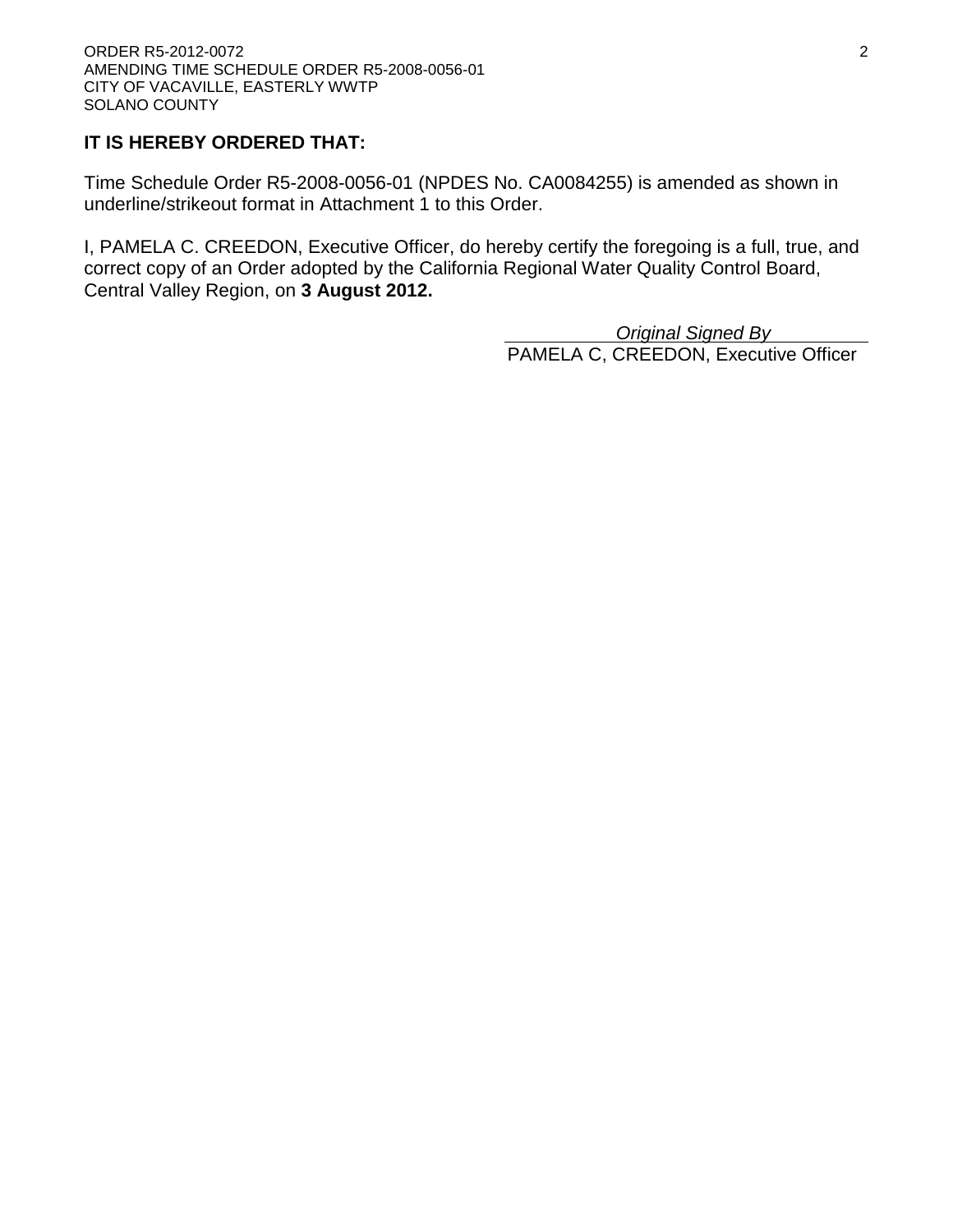# **IT IS HEREBY ORDERED THAT:**

Time Schedule Order R5-2008-0056-01 (NPDES No. CA0084255) is amended as shown in underline/strikeout format in Attachment 1 to this Order.

I, PAMELA C. CREEDON, Executive Officer, do hereby certify the foregoing is a full, true, and correct copy of an Order adopted by the California Regional Water Quality Control Board, Central Valley Region, on **3 August 2012.**

> *Original Signed By* PAMELA C, CREEDON, Executive Officer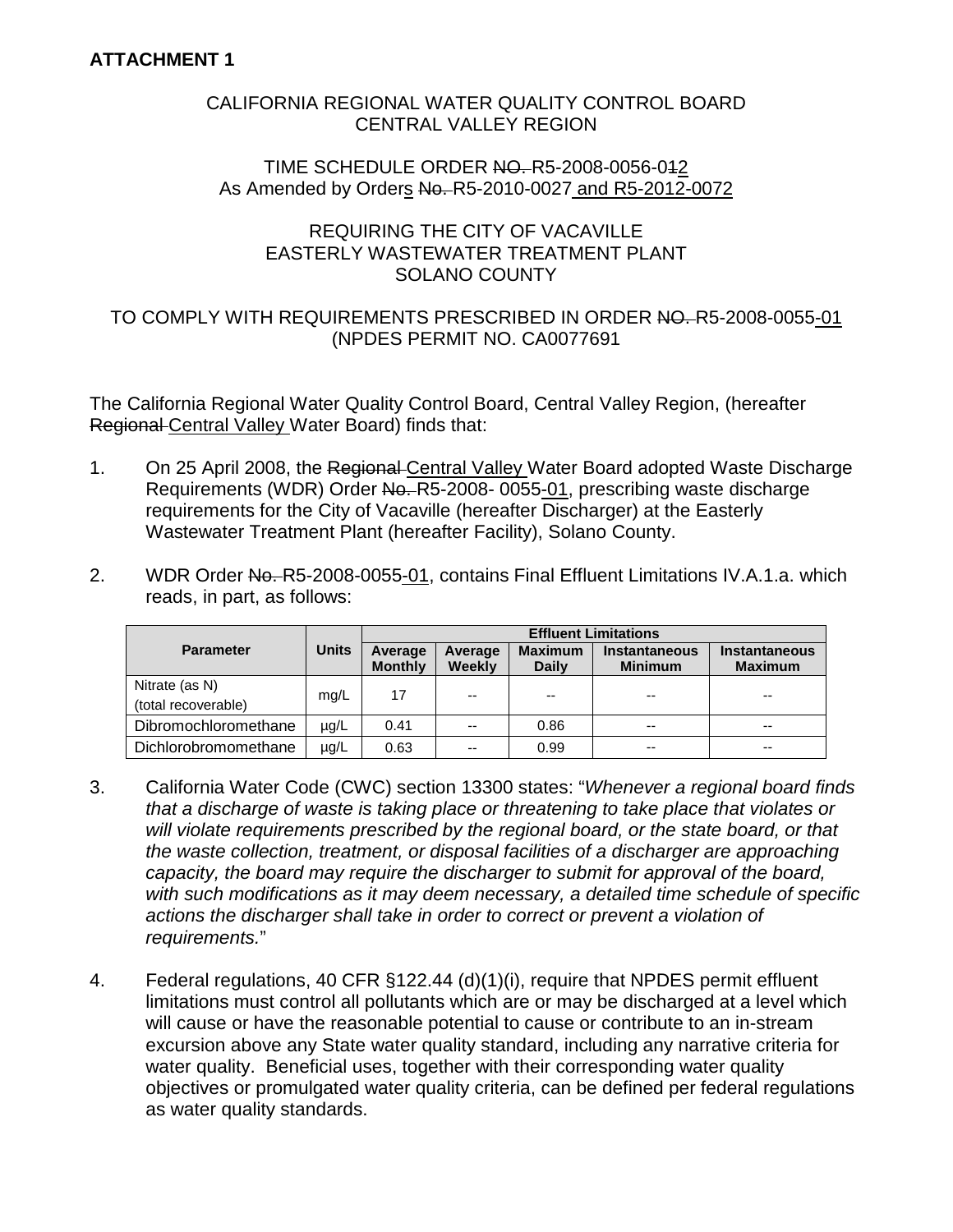## CALIFORNIA REGIONAL WATER QUALITY CONTROL BOARD CENTRAL VALLEY REGION

#### TIME SCHEDULE ORDER NO. R5-2008-0056-042 As Amended by Orders No. R5-2010-0027 and R5-2012-0072

## REQUIRING THE CITY OF VACAVILLE EASTERLY WASTEWATER TREATMENT PLANT SOLANO COUNTY

## TO COMPLY WITH REQUIREMENTS PRESCRIBED IN ORDER NO. R5-2008-0055-01 (NPDES PERMIT NO. CA0077691

The California Regional Water Quality Control Board, Central Valley Region, (hereafter Regional Central Valley Water Board) finds that:

- 1. On 25 April 2008, the Regional Central Valley Water Board adopted Waste Discharge Requirements (WDR) Order No. R5-2008-0055-01, prescribing waste discharge requirements for the City of Vacaville (hereafter Discharger) at the Easterly Wastewater Treatment Plant (hereafter Facility), Solano County.
- 2. WDR Order No. R5-2008-0055-01, contains Final Effluent Limitations IV.A.1.a. which reads, in part, as follows:

|                                       |              | <b>Effluent Limitations</b> |                          |                                |                                        |                                 |  |
|---------------------------------------|--------------|-----------------------------|--------------------------|--------------------------------|----------------------------------------|---------------------------------|--|
| <b>Parameter</b>                      | <b>Units</b> | Average<br><b>Monthly</b>   | Average<br><b>Weekly</b> | <b>Maximum</b><br><b>Daily</b> | <b>Instantaneous</b><br><b>Minimum</b> | Instantaneous<br><b>Maximum</b> |  |
| Nitrate (as N)<br>(total recoverable) | mg/L         | 17                          | --                       | --                             | $- -$                                  | $- -$                           |  |
| Dibromochloromethane                  | $\mu$ g/L    | 0.41                        | $-$                      | 0.86                           | $- -$                                  | $- -$                           |  |
| Dichlorobromomethane                  | $\mu$ g/L    | 0.63                        | $- -$                    | 0.99                           | $- -$                                  | $- -$                           |  |

- 3. California Water Code (CWC) section 13300 states: "*Whenever a regional board finds that a discharge of waste is taking place or threatening to take place that violates or will violate requirements prescribed by the regional board, or the state board, or that the waste collection, treatment, or disposal facilities of a discharger are approaching capacity, the board may require the discharger to submit for approval of the board, with such modifications as it may deem necessary, a detailed time schedule of specific actions the discharger shall take in order to correct or prevent a violation of requirements.*"
- 4. Federal regulations, 40 CFR §122.44 (d)(1)(i), require that NPDES permit effluent limitations must control all pollutants which are or may be discharged at a level which will cause or have the reasonable potential to cause or contribute to an in-stream excursion above any State water quality standard, including any narrative criteria for water quality. Beneficial uses, together with their corresponding water quality objectives or promulgated water quality criteria, can be defined per federal regulations as water quality standards.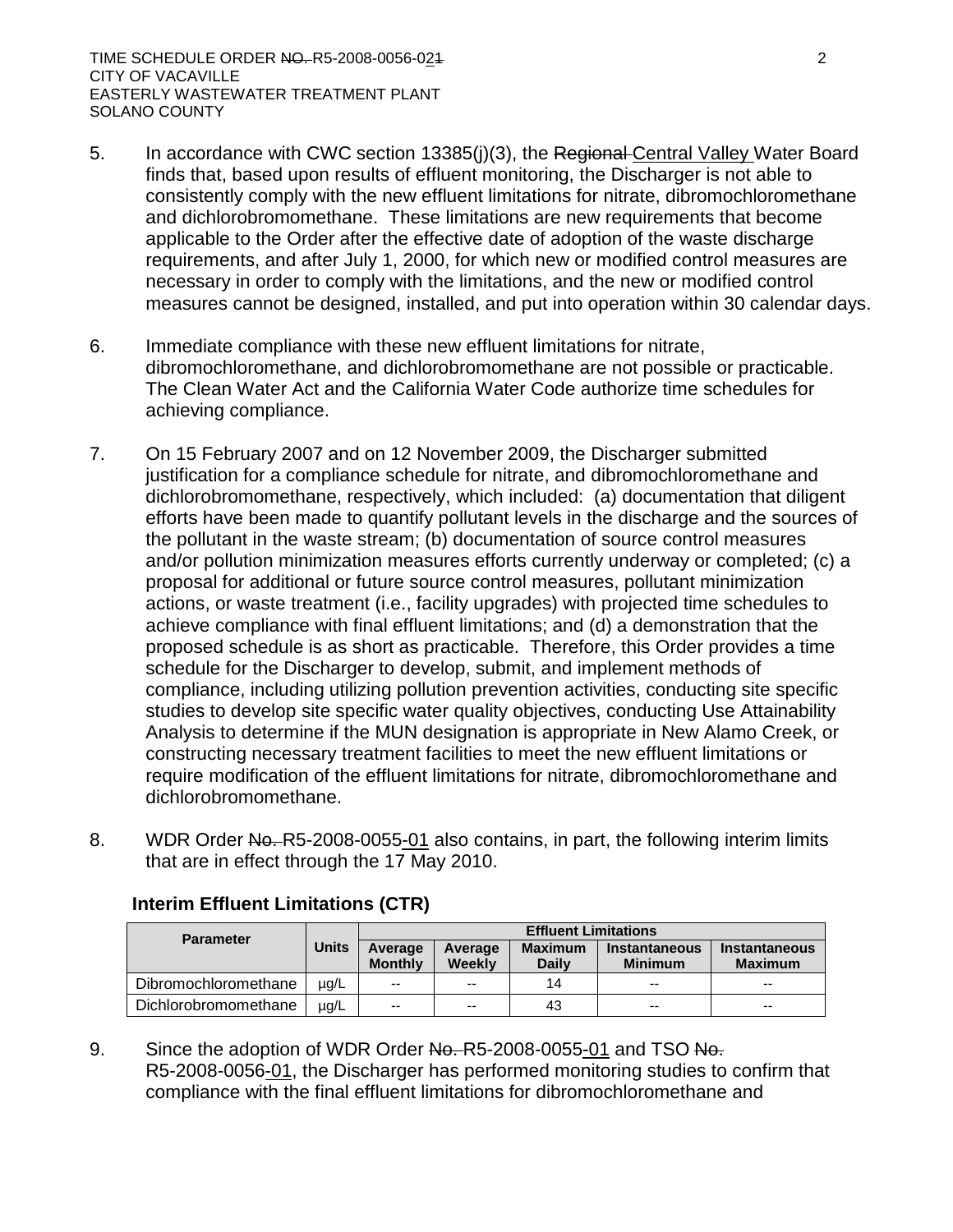- 5. In accordance with CWC section 13385(j)(3), the Regional Central Valley Water Board finds that, based upon results of effluent monitoring, the Discharger is not able to consistently comply with the new effluent limitations for nitrate, dibromochloromethane and dichlorobromomethane. These limitations are new requirements that become applicable to the Order after the effective date of adoption of the waste discharge requirements, and after July 1, 2000, for which new or modified control measures are necessary in order to comply with the limitations, and the new or modified control measures cannot be designed, installed, and put into operation within 30 calendar days.
- 6. Immediate compliance with these new effluent limitations for nitrate, dibromochloromethane, and dichlorobromomethane are not possible or practicable. The Clean Water Act and the California Water Code authorize time schedules for achieving compliance.
- 7. On 15 February 2007 and on 12 November 2009, the Discharger submitted justification for a compliance schedule for nitrate, and dibromochloromethane and dichlorobromomethane, respectively, which included: (a) documentation that diligent efforts have been made to quantify pollutant levels in the discharge and the sources of the pollutant in the waste stream; (b) documentation of source control measures and/or pollution minimization measures efforts currently underway or completed; (c) a proposal for additional or future source control measures, pollutant minimization actions, or waste treatment (i.e., facility upgrades) with projected time schedules to achieve compliance with final effluent limitations; and (d) a demonstration that the proposed schedule is as short as practicable. Therefore, this Order provides a time schedule for the Discharger to develop, submit, and implement methods of compliance, including utilizing pollution prevention activities, conducting site specific studies to develop site specific water quality objectives, conducting Use Attainability Analysis to determine if the MUN designation is appropriate in New Alamo Creek, or constructing necessary treatment facilities to meet the new effluent limitations or require modification of the effluent limitations for nitrate, dibromochloromethane and dichlorobromomethane.
- 8. WDR Order No. R5-2008-0055-01 also contains, in part, the following interim limits that are in effect through the 17 May 2010.

| <b>Parameter</b>     | <b>Effluent Limitations</b> |                           |                   |                                |                                 |                                        |
|----------------------|-----------------------------|---------------------------|-------------------|--------------------------------|---------------------------------|----------------------------------------|
|                      | <b>Units</b>                | Average<br><b>Monthly</b> | Average<br>Weekly | <b>Maximum</b><br><b>Daily</b> | Instantaneous<br><b>Minimum</b> | <b>Instantaneous</b><br><b>Maximum</b> |
| Dibromochloromethane | $\mu$ g/L                   | $-$                       | $-$               | 14                             | $-$                             | $-$                                    |
| Dichlorobromomethane | $\mu q/L$                   | $-$                       | $-$               | 43                             | $- -$                           | $- -$                                  |

# **Interim Effluent Limitations (CTR)**

9. Since the adoption of WDR Order No. R5-2008-0055-01 and TSO No. R5-2008-0056-01, the Discharger has performed monitoring studies to confirm that compliance with the final effluent limitations for dibromochloromethane and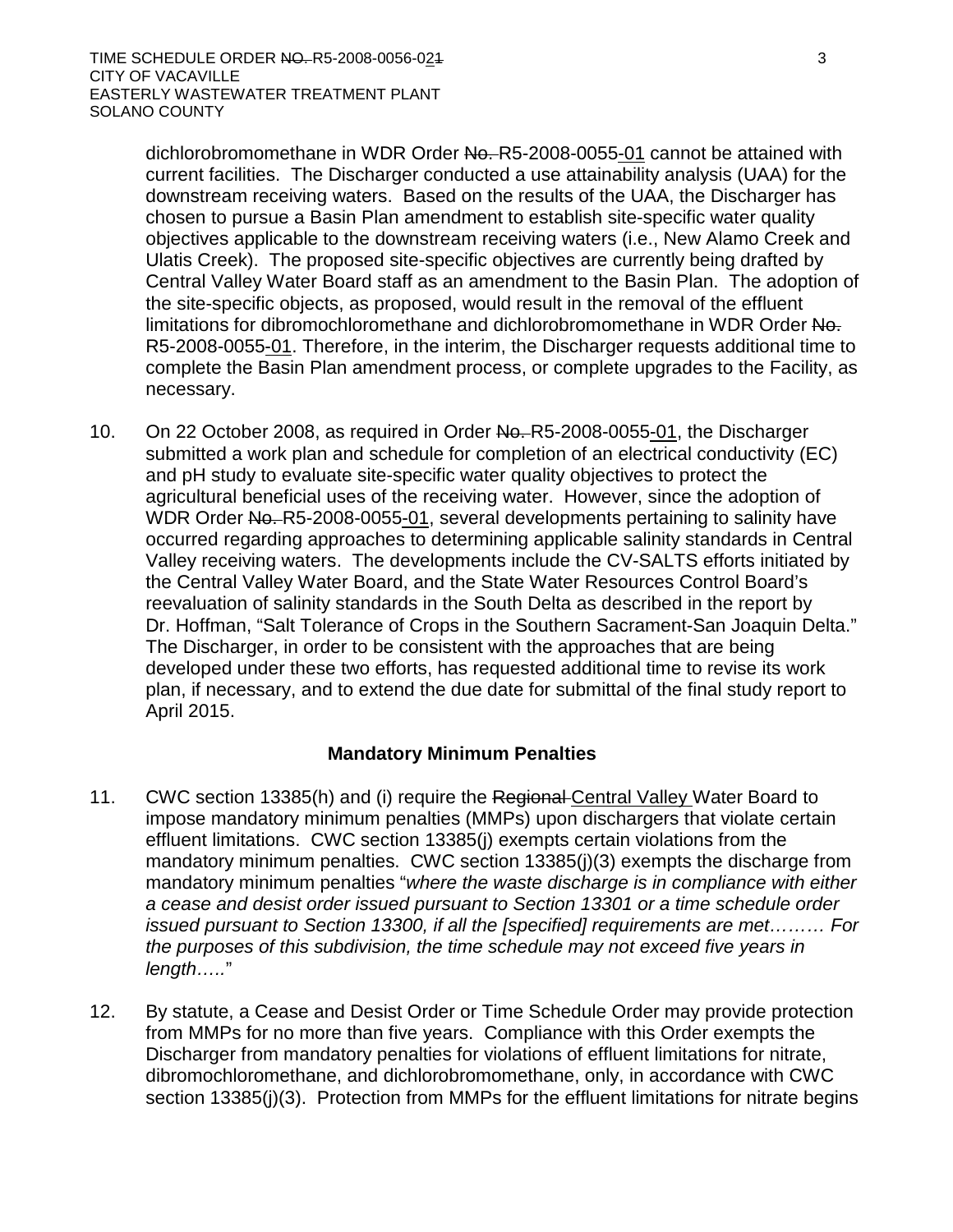dichlorobromomethane in WDR Order No. R5-2008-0055-01 cannot be attained with current facilities. The Discharger conducted a use attainability analysis (UAA) for the downstream receiving waters. Based on the results of the UAA, the Discharger has chosen to pursue a Basin Plan amendment to establish site-specific water quality objectives applicable to the downstream receiving waters (i.e., New Alamo Creek and Ulatis Creek). The proposed site-specific objectives are currently being drafted by Central Valley Water Board staff as an amendment to the Basin Plan. The adoption of the site-specific objects, as proposed, would result in the removal of the effluent limitations for dibromochloromethane and dichlorobromomethane in WDR Order No. R5-2008-0055-01. Therefore, in the interim, the Discharger requests additional time to complete the Basin Plan amendment process, or complete upgrades to the Facility, as necessary.

10. On 22 October 2008, as required in Order No. R5-2008-0055-01, the Discharger submitted a work plan and schedule for completion of an electrical conductivity (EC) and pH study to evaluate site-specific water quality objectives to protect the agricultural beneficial uses of the receiving water. However, since the adoption of WDR Order No. R5-2008-0055-01, several developments pertaining to salinity have occurred regarding approaches to determining applicable salinity standards in Central Valley receiving waters. The developments include the CV-SALTS efforts initiated by the Central Valley Water Board, and the State Water Resources Control Board's reevaluation of salinity standards in the South Delta as described in the report by Dr. Hoffman, "Salt Tolerance of Crops in the Southern Sacrament-San Joaquin Delta." The Discharger, in order to be consistent with the approaches that are being developed under these two efforts, has requested additional time to revise its work plan, if necessary, and to extend the due date for submittal of the final study report to April 2015.

## **Mandatory Minimum Penalties**

- 11. CWC section 13385(h) and (i) require the Regional Central Valley Water Board to impose mandatory minimum penalties (MMPs) upon dischargers that violate certain effluent limitations. CWC section 13385(j) exempts certain violations from the mandatory minimum penalties. CWC section 13385(j)(3) exempts the discharge from mandatory minimum penalties "*where the waste discharge is in compliance with either a cease and desist order issued pursuant to Section 13301 or a time schedule order issued pursuant to Section 13300, if all the [specified] requirements are met……… For the purposes of this subdivision, the time schedule may not exceed five years in length…..*"
- 12. By statute, a Cease and Desist Order or Time Schedule Order may provide protection from MMPs for no more than five years. Compliance with this Order exempts the Discharger from mandatory penalties for violations of effluent limitations for nitrate, dibromochloromethane, and dichlorobromomethane, only, in accordance with CWC section 13385(j)(3). Protection from MMPs for the effluent limitations for nitrate begins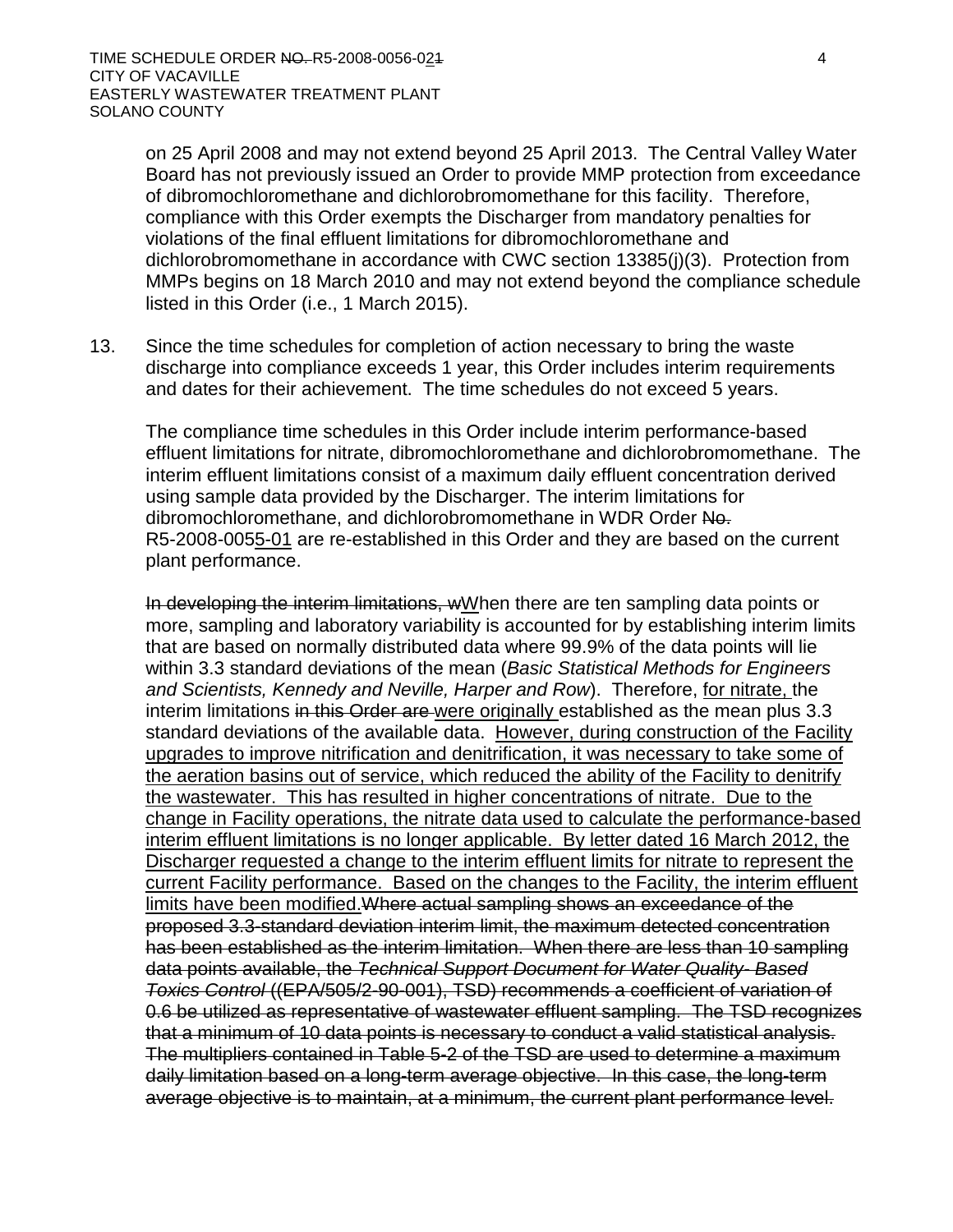on 25 April 2008 and may not extend beyond 25 April 2013. The Central Valley Water Board has not previously issued an Order to provide MMP protection from exceedance of dibromochloromethane and dichlorobromomethane for this facility. Therefore, compliance with this Order exempts the Discharger from mandatory penalties for violations of the final effluent limitations for dibromochloromethane and dichlorobromomethane in accordance with CWC section 13385(j)(3). Protection from MMPs begins on 18 March 2010 and may not extend beyond the compliance schedule listed in this Order (i.e., 1 March 2015).

13. Since the time schedules for completion of action necessary to bring the waste discharge into compliance exceeds 1 year, this Order includes interim requirements and dates for their achievement. The time schedules do not exceed 5 years.

The compliance time schedules in this Order include interim performance-based effluent limitations for nitrate, dibromochloromethane and dichlorobromomethane. The interim effluent limitations consist of a maximum daily effluent concentration derived using sample data provided by the Discharger. The interim limitations for dibromochloromethane, and dichlorobromomethane in WDR Order No. R5-2008-0055-01 are re-established in this Order and they are based on the current plant performance.

In developing the interim limitations, wWhen there are ten sampling data points or more, sampling and laboratory variability is accounted for by establishing interim limits that are based on normally distributed data where 99.9% of the data points will lie within 3.3 standard deviations of the mean (*Basic Statistical Methods for Engineers and Scientists, Kennedy and Neville, Harper and Row*). Therefore, for nitrate, the interim limitations in this Order are were originally established as the mean plus 3.3 standard deviations of the available data. However, during construction of the Facility upgrades to improve nitrification and denitrification, it was necessary to take some of the aeration basins out of service, which reduced the ability of the Facility to denitrify the wastewater. This has resulted in higher concentrations of nitrate. Due to the change in Facility operations, the nitrate data used to calculate the performance-based interim effluent limitations is no longer applicable. By letter dated 16 March 2012, the Discharger requested a change to the interim effluent limits for nitrate to represent the current Facility performance. Based on the changes to the Facility, the interim effluent limits have been modified. Where actual sampling shows an exceedance of the proposed 3.3-standard deviation interim limit, the maximum detected concentration has been established as the interim limitation. When there are less than 10 sampling data points available, the *Technical Support Document for Water Quality- Based Toxics Control* ((EPA/505/2-90-001), TSD) recommends a coefficient of variation of 0.6 be utilized as representative of wastewater effluent sampling. The TSD recognizes that a minimum of 10 data points is necessary to conduct a valid statistical analysis. The multipliers contained in Table 5-2 of the TSD are used to determine a maximum daily limitation based on a long-term average objective. In this case, the long-term average objective is to maintain, at a minimum, the current plant performance level.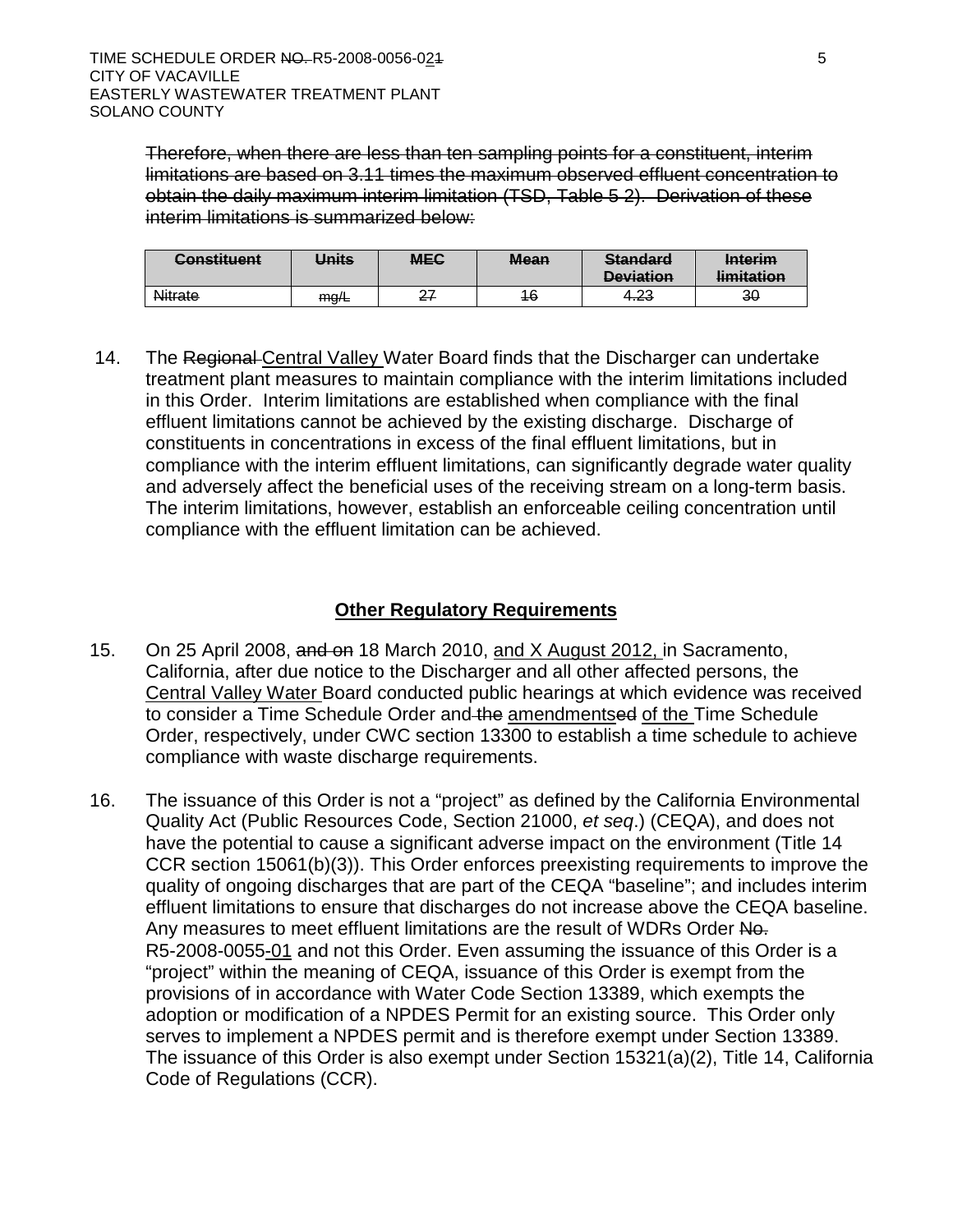Therefore, when there are less than ten sampling points for a constituent, interim limitations are based on 3.11 times the maximum observed effluent concentration to obtain the daily maximum interim limitation (TSD, Table 5 2). Derivation of these interim limitations is summarized below:

| $\Gamma$ onetituant<br><del>oonsuucin</del> | Units | <b>MEC</b> | <b>Mean</b> | <b>Standard</b><br><b>Devistion</b><br><del>Devlation</del> | <b>Interim</b><br>limitation<br><del>mmauon</del> |
|---------------------------------------------|-------|------------|-------------|-------------------------------------------------------------|---------------------------------------------------|
| Nitrate                                     | ma/E  | ົ<br>21    | 46          | າາ<br>ن ∡.+                                                 | 30                                                |

14. The Regional Central Valley Water Board finds that the Discharger can undertake treatment plant measures to maintain compliance with the interim limitations included in this Order. Interim limitations are established when compliance with the final effluent limitations cannot be achieved by the existing discharge. Discharge of constituents in concentrations in excess of the final effluent limitations, but in compliance with the interim effluent limitations, can significantly degrade water quality and adversely affect the beneficial uses of the receiving stream on a long-term basis. The interim limitations, however, establish an enforceable ceiling concentration until compliance with the effluent limitation can be achieved.

# **Other Regulatory Requirements**

- 15. On 25 April 2008, and on 18 March 2010, and X August 2012, in Sacramento, California, after due notice to the Discharger and all other affected persons, the Central Valley Water Board conducted public hearings at which evidence was received to consider a Time Schedule Order and the amendmentsed of the Time Schedule Order, respectively, under CWC section 13300 to establish a time schedule to achieve compliance with waste discharge requirements.
- 16. The issuance of this Order is not a "project" as defined by the California Environmental Quality Act (Public Resources Code, Section 21000, *et seq*.) (CEQA), and does not have the potential to cause a significant adverse impact on the environment (Title 14 CCR section 15061(b)(3)). This Order enforces preexisting requirements to improve the quality of ongoing discharges that are part of the CEQA "baseline"; and includes interim effluent limitations to ensure that discharges do not increase above the CEQA baseline. Any measures to meet effluent limitations are the result of WDRs Order No. R5-2008-0055-01 and not this Order. Even assuming the issuance of this Order is a "project" within the meaning of CEQA, issuance of this Order is exempt from the provisions of in accordance with Water Code Section 13389, which exempts the adoption or modification of a NPDES Permit for an existing source. This Order only serves to implement a NPDES permit and is therefore exempt under Section 13389. The issuance of this Order is also exempt under Section 15321(a)(2), Title 14, California Code of Regulations (CCR).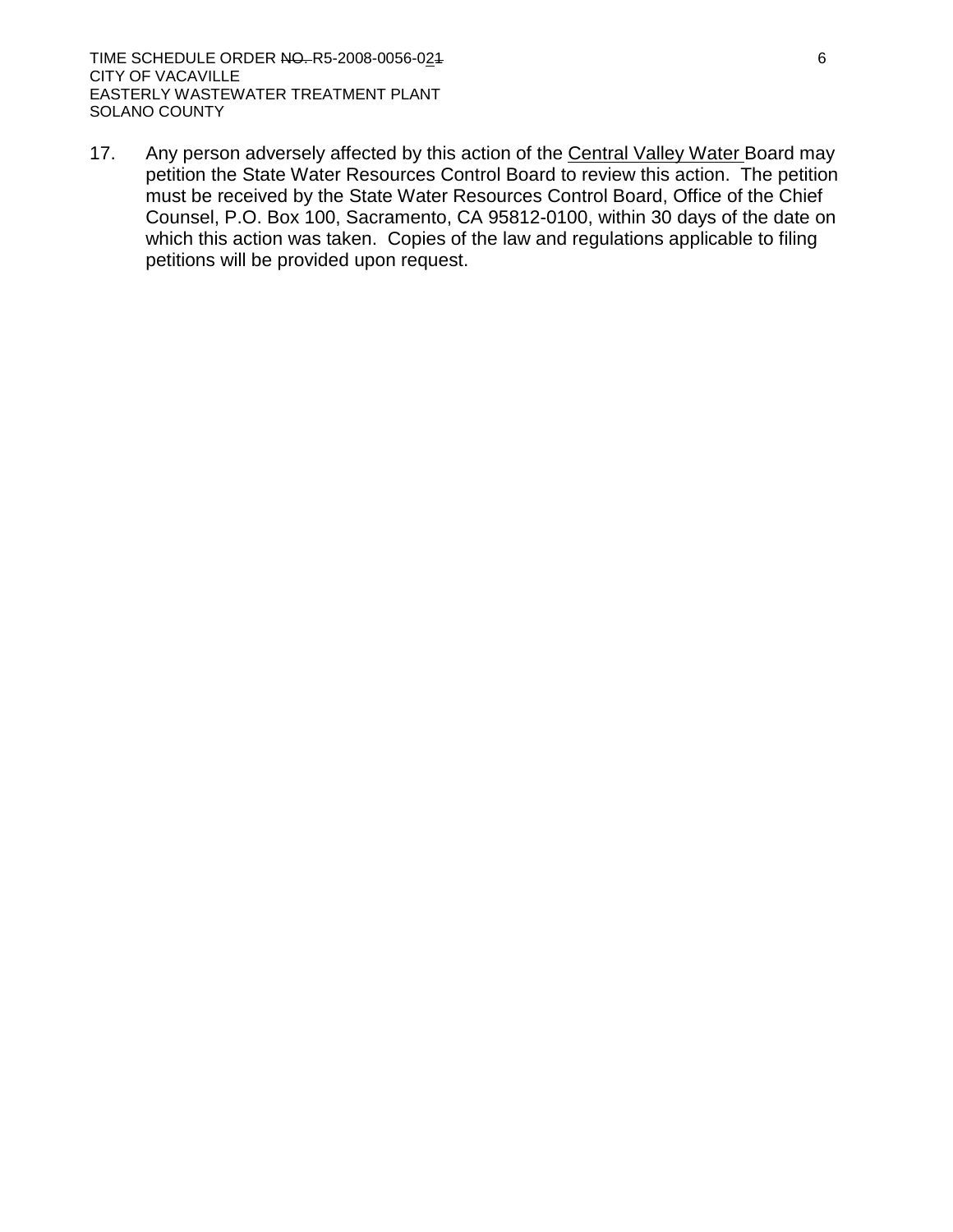17. Any person adversely affected by this action of the Central Valley Water Board may petition the State Water Resources Control Board to review this action. The petition must be received by the State Water Resources Control Board, Office of the Chief Counsel, P.O. Box 100, Sacramento, CA 95812-0100, within 30 days of the date on which this action was taken. Copies of the law and regulations applicable to filing petitions will be provided upon request.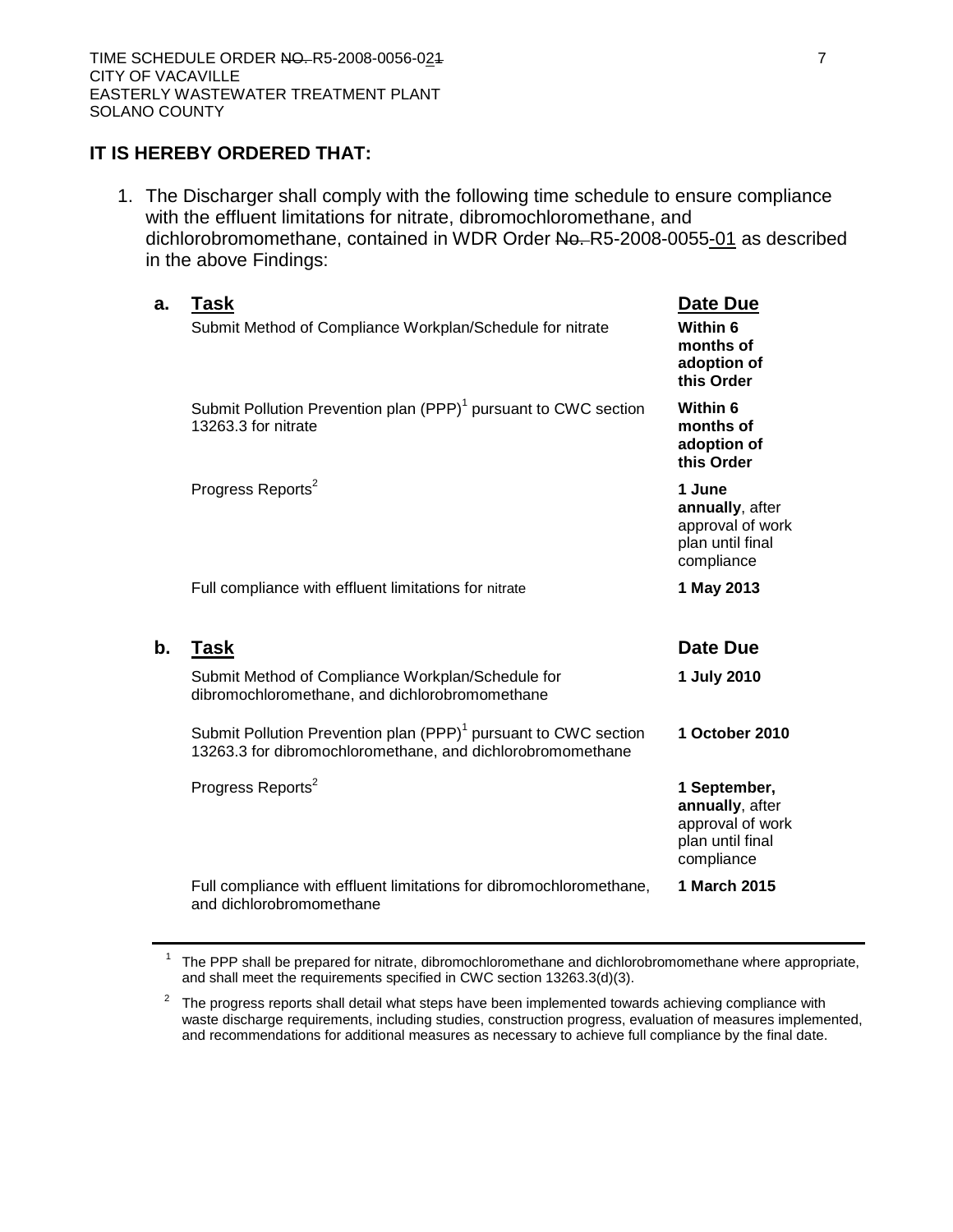#### **IT IS HEREBY ORDERED THAT:**

1. The Discharger shall comply with the following time schedule to ensure compliance with the effluent limitations for nitrate, dibromochloromethane, and dichlorobromomethane, contained in WDR Order No. R5-2008-0055-01 as described in the above Findings:

| a.            | Task<br>Submit Method of Compliance Workplan/Schedule for nitrate                                                                         | Date Due<br>Within 6<br>months of<br>adoption of<br>this Order                  |
|---------------|-------------------------------------------------------------------------------------------------------------------------------------------|---------------------------------------------------------------------------------|
|               | Submit Pollution Prevention plan (PPP) <sup>1</sup> pursuant to CWC section<br>13263.3 for nitrate                                        | Within 6<br>months of<br>adoption of<br>this Order                              |
|               | Progress Reports <sup>2</sup>                                                                                                             | 1 June<br>annually, after<br>approval of work<br>plan until final<br>compliance |
|               | Full compliance with effluent limitations for nitrate                                                                                     | 1 May 2013                                                                      |
| $\mathbf b$ . | <b>Task</b>                                                                                                                               | Date Due                                                                        |
|               | Submit Method of Compliance Workplan/Schedule for<br>dibromochloromethane, and dichlorobromomethane                                       | 1 July 2010                                                                     |
|               | Submit Pollution Prevention plan (PPP) <sup>1</sup> pursuant to CWC section<br>13263.3 for dibromochloromethane, and dichlorobromomethane | 1 October 2010                                                                  |
|               | Progress Reports <sup>2</sup>                                                                                                             | 1 September,<br>annually, after                                                 |
|               |                                                                                                                                           | approval of work<br>plan until final<br>compliance                              |

 $1$  The PPP shall be prepared for nitrate, dibromochloromethane and dichlorobromomethane where appropriate, and shall meet the requirements specified in CWC section 13263.3(d)(3).

 $2\degree$  The progress reports shall detail what steps have been implemented towards achieving compliance with waste discharge requirements, including studies, construction progress, evaluation of measures implemented, and recommendations for additional measures as necessary to achieve full compliance by the final date.